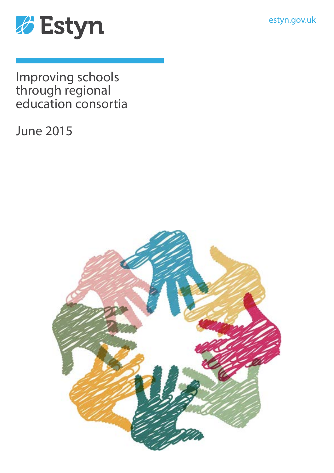estyn.gov.uk



Improving schools through regional education consortia

June 2015

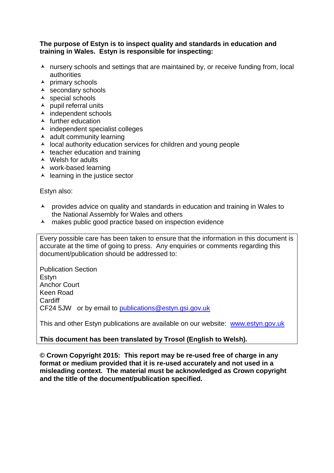#### **The purpose of Estyn is to inspect quality and standards in education and training in Wales. Estyn is responsible for inspecting:**

- $\lambda$  nursery schools and settings that are maintained by, or receive funding from, local authorities
- $\overline{\phantom{a}}$  primary schools
- $\overline{\phantom{a}}$  secondary schools
- $\triangle$  special schools
- $\lambda$  pupil referral units
- $\overline{\phantom{a}}$  independent schools
- $\blacktriangle$  further education
- $\overline{\phantom{a}}$  independent specialist colleges
- $\triangle$  adult community learning
- $\lambda$  local authority education services for children and young people
- $\triangle$  teacher education and training
- $\triangle$  Welsh for adults
- work-based learning
- $\triangle$  learning in the justice sector

Estyn also:

- A provides advice on quality and standards in education and training in Wales to the National Assembly for Wales and others
- A makes public good practice based on inspection evidence

Every possible care has been taken to ensure that the information in this document is accurate at the time of going to press. Any enquiries or comments regarding this document/publication should be addressed to:

Publication Section Estyn Anchor Court Keen Road **Cardiff** CF24 5JW or by email to [publications@estyn.gsi.gov.uk](mailto:publications@estyn.gsi.gov.uk)

This and other Estyn publications are available on our website: [www.estyn.gov.uk](http://www.estyn.gov.uk/)

### **This document has been translated by Trosol (English to Welsh).**

**© Crown Copyright 2015: This report may be re-used free of charge in any format or medium provided that it is re-used accurately and not used in a misleading context. The material must be acknowledged as Crown copyright and the title of the document/publication specified.**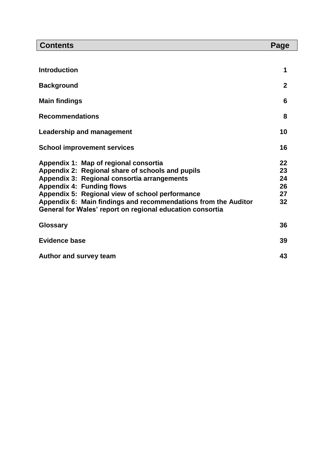| <b>Contents</b>                                                                                                                                                                                                                                                                                                                                                | Page                             |
|----------------------------------------------------------------------------------------------------------------------------------------------------------------------------------------------------------------------------------------------------------------------------------------------------------------------------------------------------------------|----------------------------------|
|                                                                                                                                                                                                                                                                                                                                                                |                                  |
| <b>Introduction</b>                                                                                                                                                                                                                                                                                                                                            | 1                                |
| <b>Background</b>                                                                                                                                                                                                                                                                                                                                              | $\mathbf{2}$                     |
| <b>Main findings</b>                                                                                                                                                                                                                                                                                                                                           | 6                                |
| <b>Recommendations</b>                                                                                                                                                                                                                                                                                                                                         | 8                                |
| <b>Leadership and management</b>                                                                                                                                                                                                                                                                                                                               | 10                               |
| <b>School improvement services</b>                                                                                                                                                                                                                                                                                                                             | 16                               |
| Appendix 1: Map of regional consortia<br>Appendix 2: Regional share of schools and pupils<br>Appendix 3: Regional consortia arrangements<br><b>Appendix 4: Funding flows</b><br>Appendix 5: Regional view of school performance<br>Appendix 6: Main findings and recommendations from the Auditor<br>General for Wales' report on regional education consortia | 22<br>23<br>24<br>26<br>27<br>32 |
| <b>Glossary</b>                                                                                                                                                                                                                                                                                                                                                | 36                               |
| <b>Evidence base</b>                                                                                                                                                                                                                                                                                                                                           | 39                               |
| <b>Author and survey team</b>                                                                                                                                                                                                                                                                                                                                  | 43                               |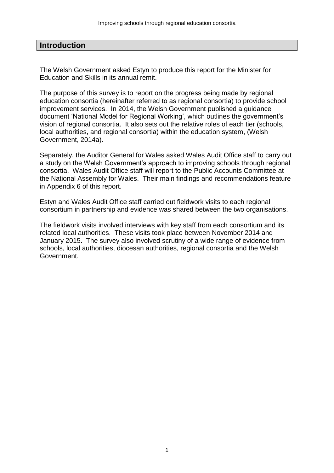### **Introduction**

The Welsh Government asked Estyn to produce this report for the Minister for Education and Skills in its annual remit.

The purpose of this survey is to report on the progress being made by regional education consortia (hereinafter referred to as regional consortia) to provide school improvement services. In 2014, the Welsh Government published a guidance document 'National Model for Regional Working', which outlines the government's vision of regional consortia. It also sets out the relative roles of each tier (schools, local authorities, and regional consortia) within the education system, (Welsh Government, 2014a).

Separately, the Auditor General for Wales asked Wales Audit Office staff to carry out a study on the Welsh Government's approach to improving schools through regional consortia. Wales Audit Office staff will report to the Public Accounts Committee at the National Assembly for Wales. Their main findings and recommendations feature in Appendix 6 of this report.

Estyn and Wales Audit Office staff carried out fieldwork visits to each regional consortium in partnership and evidence was shared between the two organisations.

The fieldwork visits involved interviews with key staff from each consortium and its related local authorities. These visits took place between November 2014 and January 2015. The survey also involved scrutiny of a wide range of evidence from schools, local authorities, diocesan authorities, regional consortia and the Welsh Government.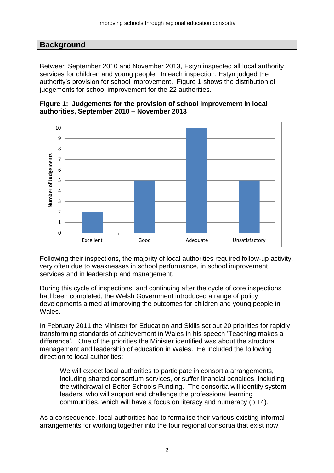### **Background**

Between September 2010 and November 2013, Estyn inspected all local authority services for children and young people. In each inspection, Estyn judged the authority's provision for school improvement. Figure 1 shows the distribution of judgements for school improvement for the 22 authorities.





Following their inspections, the majority of local authorities required follow-up activity, very often due to weaknesses in school performance, in school improvement services and in leadership and management.

During this cycle of inspections, and continuing after the cycle of core inspections had been completed, the Welsh Government introduced a range of policy developments aimed at improving the outcomes for children and young people in Wales.

In February 2011 the Minister for Education and Skills set out 20 priorities for rapidly transforming standards of achievement in Wales in his speech 'Teaching makes a difference'. One of the priorities the Minister identified was about the structural management and leadership of education in Wales. He included the following direction to local authorities:

We will expect local authorities to participate in consortia arrangements, including shared consortium services, or suffer financial penalties, including the withdrawal of Better Schools Funding. The consortia will identify system leaders, who will support and challenge the professional learning communities, which will have a focus on literacy and numeracy (p.14).

As a consequence, local authorities had to formalise their various existing informal arrangements for working together into the four regional consortia that exist now.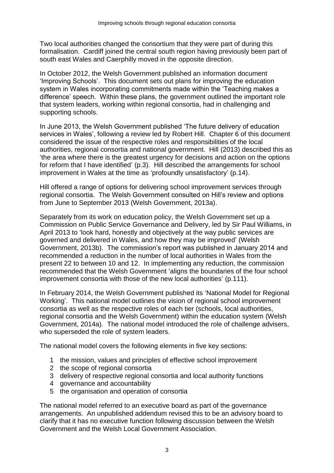Two local authorities changed the consortium that they were part of during this formalisation. Cardiff joined the central south region having previously been part of south east Wales and Caerphilly moved in the opposite direction.

In October 2012, the Welsh Government published an information document 'Improving Schools'. This document sets out plans for improving the education system in Wales incorporating commitments made within the 'Teaching makes a difference' speech. Within these plans, the government outlined the important role that system leaders, working within regional consortia, had in challenging and supporting schools.

In June 2013, the Welsh Government published 'The future delivery of education services in Wales', following a review led by Robert Hill. Chapter 6 of this document considered the issue of the respective roles and responsibilities of the local authorities, regional consortia and national government. Hill (2013) described this as 'the area where there is the greatest urgency for decisions and action on the options for reform that I have identified' (p.3)*.* Hill described the arrangements for school improvement in Wales at the time as 'profoundly unsatisfactory' (p.14).

Hill offered a range of options for delivering school improvement services through regional consortia. The Welsh Government consulted on Hill's review and options from June to September 2013 (Welsh Government, 2013a).

Separately from its work on education policy, the Welsh Government set up a Commission on Public Service Governance and Delivery, led by Sir Paul Williams, in April 2013 to 'look hard, honestly and objectively at the way public services are governed and delivered in Wales, and how they may be improved' (Welsh Government, 2013b). The commission's report was published in January 2014 and recommended a reduction in the number of local authorities in Wales from the present 22 to between 10 and 12. In implementing any reduction, the commission recommended that the Welsh Government 'aligns the boundaries of the four school improvement consortia with those of the new local authorities' (p.111).

In February 2014, the Welsh Government published its 'National Model for Regional Working'. This national model outlines the vision of regional school improvement consortia as well as the respective roles of each tier (schools, local authorities, regional consortia and the Welsh Government) within the education system (Welsh Government, 2014a). The national model introduced the role of challenge advisers, who superseded the role of system leaders.

The national model covers the following elements in five key sections:

- 1 the mission, values and principles of effective school improvement
- 2 the scope of regional consortia
- 3 delivery of respective regional consortia and local authority functions
- 4 governance and accountability
- 5 the organisation and operation of consortia

The national model referred to an executive board as part of the governance arrangements. An unpublished addendum revised this to be an advisory board to clarify that it has no executive function following discussion between the Welsh Government and the Welsh Local Government Association.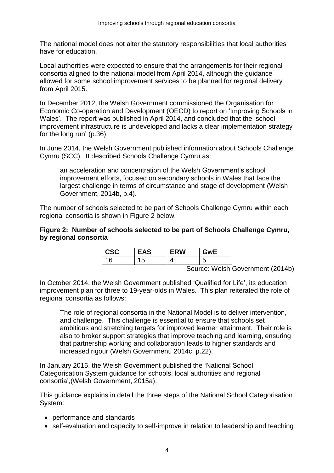The national model does not alter the statutory responsibilities that local authorities have for education.

Local authorities were expected to ensure that the arrangements for their regional consortia aligned to the national model from April 2014, although the guidance allowed for some school improvement services to be planned for regional delivery from April 2015.

In December 2012, the Welsh Government commissioned the Organisation for Economic Co-operation and Development (OECD) to report on 'Improving Schools in Wales'. The report was published in April 2014, and concluded that the 'school improvement infrastructure is undeveloped and lacks a clear implementation strategy for the long run' (p.36).

In June 2014, the Welsh Government published information about Schools Challenge Cymru (SCC). It described Schools Challenge Cymru as:

an acceleration and concentration of the Welsh Government's school improvement efforts, focused on secondary schools in Wales that face the largest challenge in terms of circumstance and stage of development (Welsh Government, 2014b, p.4).

The number of schools selected to be part of Schools Challenge Cymru within each regional consortia is shown in Figure 2 below.

#### **Figure 2: Number of schools selected to be part of Schools Challenge Cymru, by regional consortia**

| <b>CSC</b> | <b>EAS</b> | <b>ERW</b> | àwF |
|------------|------------|------------|-----|
|            | ל '        |            |     |

Source: Welsh Government (2014b)

In October 2014, the Welsh Government published 'Qualified for Life', its education improvement plan for three to 19-year-olds in Wales. This plan reiterated the role of regional consortia as follows:

The role of regional consortia in the National Model is to deliver intervention, and challenge. This challenge is essential to ensure that schools set ambitious and stretching targets for improved learner attainment. Their role is also to broker support strategies that improve teaching and learning, ensuring that partnership working and collaboration leads to higher standards and increased rigour (Welsh Government, 2014c, p.22).

In January 2015, the Welsh Government published the 'National School Categorisation System guidance for schools, local authorities and regional consortia',(Welsh Government, 2015a).

This guidance explains in detail the three steps of the National School Categorisation System:

- performance and standards
- self-evaluation and capacity to self-improve in relation to leadership and teaching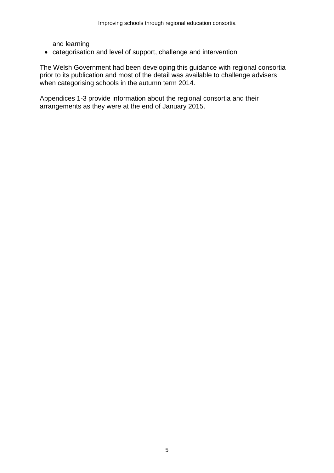and learning

categorisation and level of support, challenge and intervention

The Welsh Government had been developing this guidance with regional consortia prior to its publication and most of the detail was available to challenge advisers when categorising schools in the autumn term 2014.

Appendices 1-3 provide information about the regional consortia and their arrangements as they were at the end of January 2015.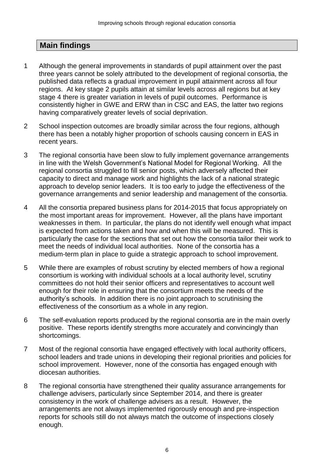## **Main findings**

- 1 Although the general improvements in standards of pupil attainment over the past three years cannot be solely attributed to the development of regional consortia, the published data reflects a gradual improvement in pupil attainment across all four regions. At key stage 2 pupils attain at similar levels across all regions but at key stage 4 there is greater variation in levels of pupil outcomes. Performance is consistently higher in GWE and ERW than in CSC and EAS, the latter two regions having comparatively greater levels of social deprivation.
- 2 School inspection outcomes are broadly similar across the four regions, although there has been a notably higher proportion of schools causing concern in EAS in recent years.
- 3 The regional consortia have been slow to fully implement governance arrangements in line with the Welsh Government's National Model for Regional Working. All the regional consortia struggled to fill senior posts, which adversely affected their capacity to direct and manage work and highlights the lack of a national strategic approach to develop senior leaders. It is too early to judge the effectiveness of the governance arrangements and senior leadership and management of the consortia.
- 4 All the consortia prepared business plans for 2014-2015 that focus appropriately on the most important areas for improvement. However, all the plans have important weaknesses in them. In particular, the plans do not identify well enough what impact is expected from actions taken and how and when this will be measured. This is particularly the case for the sections that set out how the consortia tailor their work to meet the needs of individual local authorities. None of the consortia has a medium-term plan in place to guide a strategic approach to school improvement.
- 5 While there are examples of robust scrutiny by elected members of how a regional consortium is working with individual schools at a local authority level, scrutiny committees do not hold their senior officers and representatives to account well enough for their role in ensuring that the consortium meets the needs of the authority's schools. In addition there is no joint approach to scrutinising the effectiveness of the consortium as a whole in any region.
- 6 The self-evaluation reports produced by the regional consortia are in the main overly positive. These reports identify strengths more accurately and convincingly than shortcomings.
- 7 Most of the regional consortia have engaged effectively with local authority officers, school leaders and trade unions in developing their regional priorities and policies for school improvement. However, none of the consortia has engaged enough with diocesan authorities.
- 8 The regional consortia have strengthened their quality assurance arrangements for challenge advisers, particularly since September 2014, and there is greater consistency in the work of challenge advisers as a result. However, the arrangements are not always implemented rigorously enough and pre-inspection reports for schools still do not always match the outcome of inspections closely enough.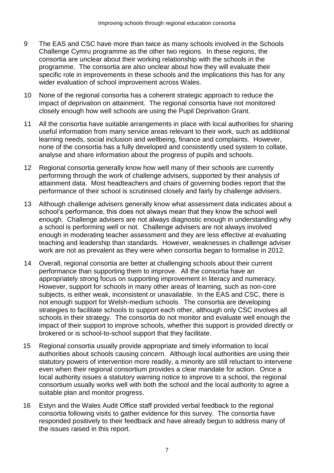- 9 The EAS and CSC have more than twice as many schools involved in the Schools Challenge Cymru programme as the other two regions. In these regions, the consortia are unclear about their working relationship with the schools in the programme. The consortia are also unclear about how they will evaluate their specific role in improvements in these schools and the implications this has for any wider evaluation of school improvement across Wales.
- 10 None of the regional consortia has a coherent strategic approach to reduce the impact of deprivation on attainment. The regional consortia have not monitored closely enough how well schools are using the Pupil Deprivation Grant.
- 11 All the consortia have suitable arrangements in place with local authorities for sharing useful information from many service areas relevant to their work, such as additional learning needs, social inclusion and wellbeing, finance and complaints. However, none of the consortia has a fully developed and consistently used system to collate, analyse and share information about the progress of pupils and schools.
- 12 Regional consortia generally know how well many of their schools are currently performing through the work of challenge advisers, supported by their analysis of attainment data. Most headteachers and chairs of governing bodies report that the performance of their school is scrutinised closely and fairly by challenge advisers.
- 13 Although challenge advisers generally know what assessment data indicates about a school's performance, this does not always mean that they know the school well enough. Challenge advisers are not always diagnostic enough in understanding why a school is performing well or not. Challenge advisers are not always involved enough in moderating teacher assessment and they are less effective at evaluating teaching and leadership than standards. However, weaknesses in challenge adviser work are not as prevalent as they were when consortia began to formalise in 2012.
- 14 Overall, regional consortia are better at challenging schools about their current performance than supporting them to improve. All the consortia have an appropriately strong focus on supporting improvement in literacy and numeracy. However, support for schools in many other areas of learning, such as non-core subjects, is either weak, inconsistent or unavailable. In the EAS and CSC, there is not enough support for Welsh-medium schools. The consortia are developing strategies to facilitate schools to support each other, although only CSC involves all schools in their strategy. The consortia do not monitor and evaluate well enough the impact of their support to improve schools, whether this support is provided directly or brokered or is school-to-school support that they facilitate.
- 15 Regional consortia usually provide appropriate and timely information to local authorities about schools causing concern. Although local authorities are using their statutory powers of intervention more readily, a minority are still reluctant to intervene even when their regional consortium provides a clear mandate for action. Once a local authority issues a statutory warning notice to improve to a school, the regional consortium usually works well with both the school and the local authority to agree a suitable plan and monitor progress.
- 16 Estyn and the Wales Audit Office staff provided verbal feedback to the regional consortia following visits to gather evidence for this survey. The consortia have responded positively to their feedback and have already begun to address many of the issues raised in this report.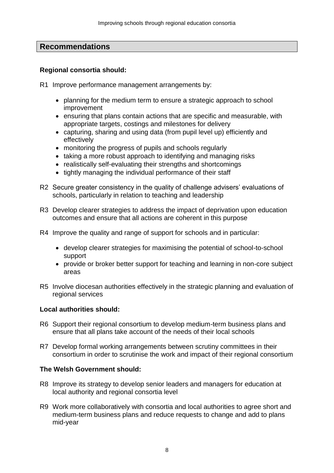## **Recommendations**

### **Regional consortia should:**

R1 Improve performance management arrangements by:

- planning for the medium term to ensure a strategic approach to school improvement
- ensuring that plans contain actions that are specific and measurable, with appropriate targets, costings and milestones for delivery
- capturing, sharing and using data (from pupil level up) efficiently and effectively
- monitoring the progress of pupils and schools regularly
- taking a more robust approach to identifying and managing risks
- realistically self-evaluating their strengths and shortcomings
- tightly managing the individual performance of their staff
- R2 Secure greater consistency in the quality of challenge advisers' evaluations of schools, particularly in relation to teaching and leadership
- R3 Develop clearer strategies to address the impact of deprivation upon education outcomes and ensure that all actions are coherent in this purpose
- R4 Improve the quality and range of support for schools and in particular:
	- develop clearer strategies for maximising the potential of school-to-school support
	- provide or broker better support for teaching and learning in non-core subject areas
- R5 Involve diocesan authorities effectively in the strategic planning and evaluation of regional services

### **Local authorities should:**

- R6 Support their regional consortium to develop medium-term business plans and ensure that all plans take account of the needs of their local schools
- R7 Develop formal working arrangements between scrutiny committees in their consortium in order to scrutinise the work and impact of their regional consortium

### **The Welsh Government should:**

- R8 Improve its strategy to develop senior leaders and managers for education at local authority and regional consortia level
- R9 Work more collaboratively with consortia and local authorities to agree short and medium-term business plans and reduce requests to change and add to plans mid-year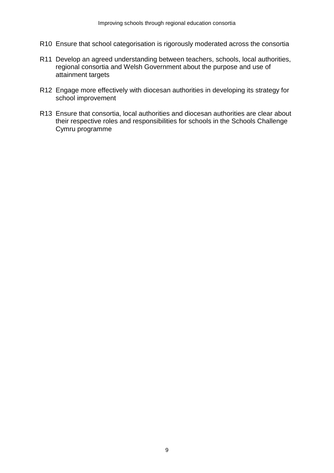- R10 Ensure that school categorisation is rigorously moderated across the consortia
- R11 Develop an agreed understanding between teachers, schools, local authorities, regional consortia and Welsh Government about the purpose and use of attainment targets
- R12 Engage more effectively with diocesan authorities in developing its strategy for school improvement
- R13 Ensure that consortia, local authorities and diocesan authorities are clear about their respective roles and responsibilities for schools in the Schools Challenge Cymru programme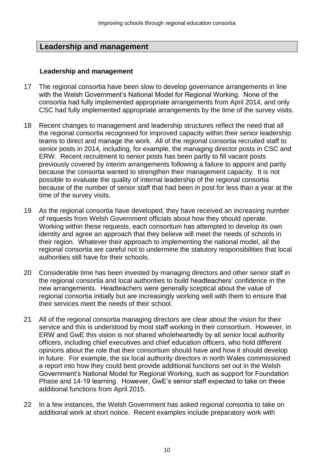## **Leadership and management**

#### **Leadership and management**

- 17 The regional consortia have been slow to develop governance arrangements in line with the Welsh Government's National Model for Regional Working. None of the consortia had fully implemented appropriate arrangements from April 2014, and only CSC had fully implemented appropriate arrangements by the time of the survey visits.
- 18 Recent changes to management and leadership structures reflect the need that all the regional consortia recognised for improved capacity within their senior leadership teams to direct and manage the work. All of the regional consortia recruited staff to senior posts in 2014, including, for example, the managing director posts in CSC and ERW. Recent recruitment to senior posts has been partly to fill vacant posts previously covered by interim arrangements following a failure to appoint and partly because the consortia wanted to strengthen their management capacity. It is not possible to evaluate the quality of internal leadership of the regional consortia because of the number of senior staff that had been in post for less than a year at the time of the survey visits.
- 19 As the regional consortia have developed, they have received an increasing number of requests from Welsh Government officials about how they should operate. Working within these requests, each consortium has attempted to develop its own identity and agree an approach that they believe will meet the needs of schools in their region. Whatever their approach to implementing the national model, all the regional consortia are careful not to undermine the statutory responsibilities that local authorities still have for their schools.
- 20 Considerable time has been invested by managing directors and other senior staff in the regional consortia and local authorities to build headteachers' confidence in the new arrangements. Headteachers were generally sceptical about the value of regional consortia initially but are increasingly working well with them to ensure that their services meet the needs of their school.
- 21 All of the regional consortia managing directors are clear about the vision for their service and this is understood by most staff working in their consortium. However, in ERW and GwE this vision is not shared wholeheartedly by all senior local authority officers, including chief executives and chief education officers, who hold different opinions about the role that their consortium should have and how it should develop in future. For example, the six local authority directors in north Wales commissioned a report into how they could best provide additional functions set out in the Welsh Government's National Model for Regional Working, such as support for Foundation Phase and 14-19 learning. However, GwE's senior staff expected to take on these additional functions from April 2015.
- 22 In a few instances, the Welsh Government has asked regional consortia to take on additional work at short notice. Recent examples include preparatory work with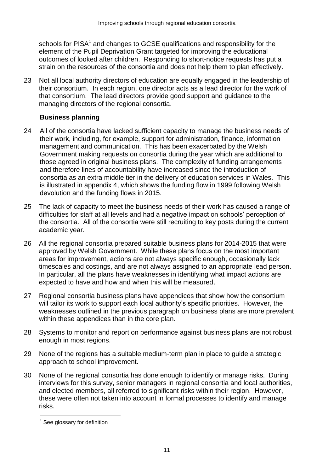schools for PISA<sup>1</sup> and changes to GCSE qualifications and responsibility for the element of the Pupil Deprivation Grant targeted for improving the educational outcomes of looked after children. Responding to short-notice requests has put a strain on the resources of the consortia and does not help them to plan effectively.

23 Not all local authority directors of education are equally engaged in the leadership of their consortium. In each region, one director acts as a lead director for the work of that consortium. The lead directors provide good support and guidance to the managing directors of the regional consortia.

### **Business planning**

- 24 All of the consortia have lacked sufficient capacity to manage the business needs of their work, including, for example, support for administration, finance, information management and communication. This has been exacerbated by the Welsh Government making requests on consortia during the year which are additional to those agreed in original business plans. The complexity of funding arrangements and therefore lines of accountability have increased since the introduction of consortia as an extra middle tier in the delivery of education services in Wales. This is illustrated in appendix 4, which shows the funding flow in 1999 following Welsh devolution and the funding flows in 2015.
- 25 The lack of capacity to meet the business needs of their work has caused a range of difficulties for staff at all levels and had a negative impact on schools' perception of the consortia. All of the consortia were still recruiting to key posts during the current academic year.
- 26 All the regional consortia prepared suitable business plans for 2014-2015 that were approved by Welsh Government. While these plans focus on the most important areas for improvement, actions are not always specific enough, occasionally lack timescales and costings, and are not always assigned to an appropriate lead person. In particular, all the plans have weaknesses in identifying what impact actions are expected to have and how and when this will be measured.
- 27 Regional consortia business plans have appendices that show how the consortium will tailor its work to support each local authority's specific priorities. However, the weaknesses outlined in the previous paragraph on business plans are more prevalent within these appendices than in the core plan.
- 28 Systems to monitor and report on performance against business plans are not robust enough in most regions.
- 29 None of the regions has a suitable medium-term plan in place to guide a strategic approach to school improvement.
- 30 None of the regional consortia has done enough to identify or manage risks. During interviews for this survey, senior managers in regional consortia and local authorities, and elected members, all referred to significant risks within their region. However, these were often not taken into account in formal processes to identify and manage risks.

 1 See glossary for definition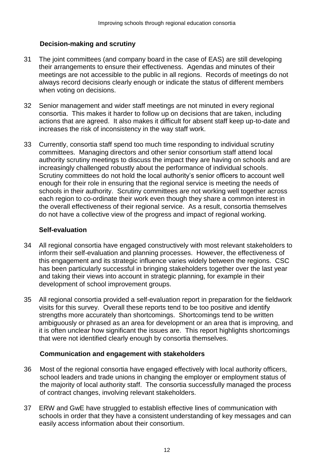### **Decision-making and scrutiny**

- 31 The joint committees (and company board in the case of EAS) are still developing their arrangements to ensure their effectiveness. Agendas and minutes of their meetings are not accessible to the public in all regions. Records of meetings do not always record decisions clearly enough or indicate the status of different members when voting on decisions.
- 32 Senior management and wider staff meetings are not minuted in every regional consortia. This makes it harder to follow up on decisions that are taken, including actions that are agreed. It also makes it difficult for absent staff keep up-to-date and increases the risk of inconsistency in the way staff work.
- 33 Currently, consortia staff spend too much time responding to individual scrutiny committees. Managing directors and other senior consortium staff attend local authority scrutiny meetings to discuss the impact they are having on schools and are increasingly challenged robustly about the performance of individual schools. Scrutiny committees do not hold the local authority's senior officers to account well enough for their role in ensuring that the regional service is meeting the needs of schools in their authority. Scrutiny committees are not working well together across each region to co-ordinate their work even though they share a common interest in the overall effectiveness of their regional service. As a result, consortia themselves do not have a collective view of the progress and impact of regional working.

#### **Self-evaluation**

- 34 All regional consortia have engaged constructively with most relevant stakeholders to inform their self-evaluation and planning processes. However, the effectiveness of this engagement and its strategic influence varies widely between the regions. CSC has been particularly successful in bringing stakeholders together over the last year and taking their views into account in strategic planning, for example in their development of school improvement groups.
- 35 All regional consortia provided a self-evaluation report in preparation for the fieldwork visits for this survey. Overall these reports tend to be too positive and identify strengths more accurately than shortcomings. Shortcomings tend to be written ambiguously or phrased as an area for development or an area that is improving, and it is often unclear how significant the issues are. This report highlights shortcomings that were not identified clearly enough by consortia themselves.

### **Communication and engagement with stakeholders**

- 36 Most of the regional consortia have engaged effectively with local authority officers, school leaders and trade unions in changing the employer or employment status of the majority of local authority staff. The consortia successfully managed the process of contract changes, involving relevant stakeholders.
- 37 ERW and GwE have struggled to establish effective lines of communication with schools in order that they have a consistent understanding of key messages and can easily access information about their consortium.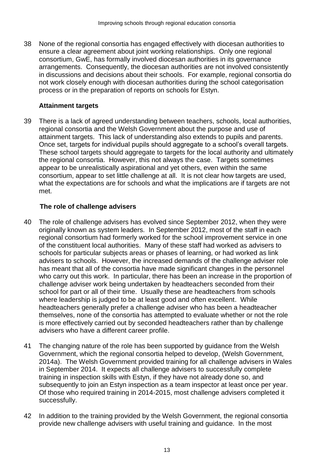38 None of the regional consortia has engaged effectively with diocesan authorities to ensure a clear agreement about joint working relationships. Only one regional consortium, GwE, has formally involved diocesan authorities in its governance arrangements. Consequently, the diocesan authorities are not involved consistently in discussions and decisions about their schools. For example, regional consortia do not work closely enough with diocesan authorities during the school categorisation process or in the preparation of reports on schools for Estyn.

### **Attainment targets**

39 There is a lack of agreed understanding between teachers, schools, local authorities, regional consortia and the Welsh Government about the purpose and use of attainment targets. This lack of understanding also extends to pupils and parents. Once set, targets for individual pupils should aggregate to a school's overall targets. These school targets should aggregate to targets for the local authority and ultimately the regional consortia. However, this not always the case. Targets sometimes appear to be unrealistically aspirational and yet others, even within the same consortium, appear to set little challenge at all. It is not clear how targets are used, what the expectations are for schools and what the implications are if targets are not met.

### **The role of challenge advisers**

- 40 The role of challenge advisers has evolved since September 2012, when they were originally known as system leaders. In September 2012, most of the staff in each regional consortium had formerly worked for the school improvement service in one of the constituent local authorities. Many of these staff had worked as advisers to schools for particular subjects areas or phases of learning, or had worked as link advisers to schools. However, the increased demands of the challenge adviser role has meant that all of the consortia have made significant changes in the personnel who carry out this work. In particular, there has been an increase in the proportion of challenge adviser work being undertaken by headteachers seconded from their school for part or all of their time. Usually these are headteachers from schools where leadership is judged to be at least good and often excellent. While headteachers generally prefer a challenge adviser who has been a headteacher themselves, none of the consortia has attempted to evaluate whether or not the role is more effectively carried out by seconded headteachers rather than by challenge advisers who have a different career profile.
- 41 The changing nature of the role has been supported by guidance from the Welsh Government, which the regional consortia helped to develop, (Welsh Government, 2014a). The Welsh Government provided training for all challenge advisers in Wales in September 2014. It expects all challenge advisers to successfully complete training in inspection skills with Estyn, if they have not already done so, and subsequently to join an Estyn inspection as a team inspector at least once per year. Of those who required training in 2014-2015, most challenge advisers completed it successfully.
- 42 In addition to the training provided by the Welsh Government, the regional consortia provide new challenge advisers with useful training and guidance. In the most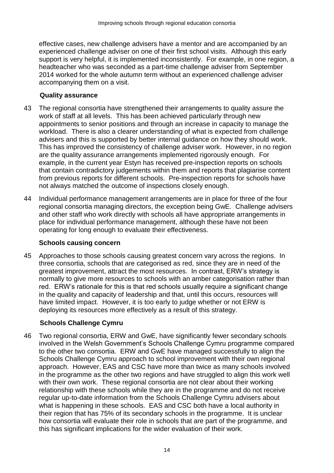effective cases, new challenge advisers have a mentor and are accompanied by an experienced challenge adviser on one of their first school visits. Although this early support is very helpful, it is implemented inconsistently. For example, in one region, a headteacher who was seconded as a part-time challenge adviser from September 2014 worked for the whole autumn term without an experienced challenge adviser accompanying them on a visit.

### **Quality assurance**

- 43 The regional consortia have strengthened their arrangements to quality assure the work of staff at all levels. This has been achieved particularly through new appointments to senior positions and through an increase in capacity to manage the workload. There is also a clearer understanding of what is expected from challenge advisers and this is supported by better internal guidance on how they should work. This has improved the consistency of challenge adviser work. However, in no region are the quality assurance arrangements implemented rigorously enough. For example, in the current year Estyn has received pre-inspection reports on schools that contain contradictory judgements within them and reports that plagiarise content from previous reports for different schools. Pre-inspection reports for schools have not always matched the outcome of inspections closely enough.
- 44 Individual performance management arrangements are in place for three of the four regional consortia managing directors, the exception being GwE. Challenge advisers and other staff who work directly with schools all have appropriate arrangements in place for individual performance management, although these have not been operating for long enough to evaluate their effectiveness.

### **Schools causing concern**

45 Approaches to those schools causing greatest concern vary across the regions. In three consortia, schools that are categorised as red, since they are in need of the greatest improvement, attract the most resources. In contrast, ERW's strategy is normally to give more resources to schools with an amber categorisation rather than red. ERW's rationale for this is that red schools usually require a significant change in the quality and capacity of leadership and that, until this occurs, resources will have limited impact. However, it is too early to judge whether or not ERW is deploying its resources more effectively as a result of this strategy.

### **Schools Challenge Cymru**

46 Two regional consortia, ERW and GwE, have significantly fewer secondary schools involved in the Welsh Government's Schools Challenge Cymru programme compared to the other two consortia. ERW and GwE have managed successfully to align the Schools Challenge Cymru approach to school improvement with their own regional approach. However, EAS and CSC have more than twice as many schools involved in the programme as the other two regions and have struggled to align this work well with their own work. These regional consortia are not clear about their working relationship with these schools while they are in the programme and do not receive regular up-to-date information from the Schools Challenge Cymru advisers about what is happening in these schools. EAS and CSC both have a local authority in their region that has 75% of its secondary schools in the programme. It is unclear how consortia will evaluate their role in schools that are part of the programme, and this has significant implications for the wider evaluation of their work.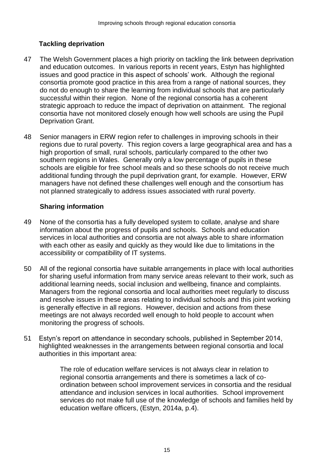## **Tackling deprivation**

- 47 The Welsh Government places a high priority on tackling the link between deprivation and education outcomes. In various reports in recent years, Estyn has highlighted issues and good practice in this aspect of schools' work. Although the regional consortia promote good practice in this area from a range of national sources, they do not do enough to share the learning from individual schools that are particularly successful within their region. None of the regional consortia has a coherent strategic approach to reduce the impact of deprivation on attainment. The regional consortia have not monitored closely enough how well schools are using the Pupil Deprivation Grant.
- 48 Senior managers in ERW region refer to challenges in improving schools in their regions due to rural poverty. This region covers a large geographical area and has a high proportion of small, rural schools, particularly compared to the other two southern regions in Wales. Generally only a low percentage of pupils in these schools are eligible for free school meals and so these schools do not receive much additional funding through the pupil deprivation grant, for example. However, ERW managers have not defined these challenges well enough and the consortium has not planned strategically to address issues associated with rural poverty.

### **Sharing information**

- 49 None of the consortia has a fully developed system to collate, analyse and share information about the progress of pupils and schools. Schools and education services in local authorities and consortia are not always able to share information with each other as easily and quickly as they would like due to limitations in the accessibility or compatibility of IT systems.
- 50 All of the regional consortia have suitable arrangements in place with local authorities for sharing useful information from many service areas relevant to their work, such as additional learning needs, social inclusion and wellbeing, finance and complaints. Managers from the regional consortia and local authorities meet regularly to discuss and resolve issues in these areas relating to individual schools and this joint working is generally effective in all regions. However, decision and actions from these meetings are not always recorded well enough to hold people to account when monitoring the progress of schools.
- 51 Estyn's report on attendance in secondary schools, published in September 2014, highlighted weaknesses in the arrangements between regional consortia and local authorities in this important area:

The role of education welfare services is not always clear in relation to regional consortia arrangements and there is sometimes a lack of coordination between school improvement services in consortia and the residual attendance and inclusion services in local authorities. School improvement services do not make full use of the knowledge of schools and families held by education welfare officers, (Estyn, 2014a, p.4).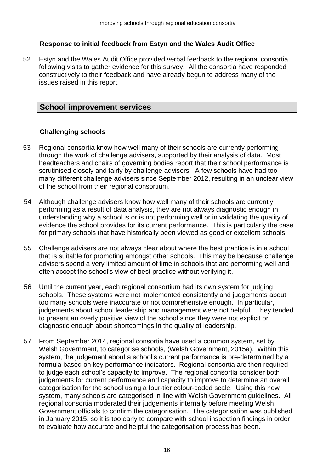### **Response to initial feedback from Estyn and the Wales Audit Office**

52 Estyn and the Wales Audit Office provided verbal feedback to the regional consortia following visits to gather evidence for this survey. All the consortia have responded constructively to their feedback and have already begun to address many of the issues raised in this report.

## **School improvement services**

### **Challenging schools**

- 53 Regional consortia know how well many of their schools are currently performing through the work of challenge advisers, supported by their analysis of data. Most headteachers and chairs of governing bodies report that their school performance is scrutinised closely and fairly by challenge advisers. A few schools have had too many different challenge advisers since September 2012, resulting in an unclear view of the school from their regional consortium.
- 54 Although challenge advisers know how well many of their schools are currently performing as a result of data analysis, they are not always diagnostic enough in understanding why a school is or is not performing well or in validating the quality of evidence the school provides for its current performance. This is particularly the case for primary schools that have historically been viewed as good or excellent schools.
- 55 Challenge advisers are not always clear about where the best practice is in a school that is suitable for promoting amongst other schools. This may be because challenge advisers spend a very limited amount of time in schools that are performing well and often accept the school's view of best practice without verifying it.
- 56 Until the current year, each regional consortium had its own system for judging schools. These systems were not implemented consistently and judgements about too many schools were inaccurate or not comprehensive enough. In particular, judgements about school leadership and management were not helpful. They tended to present an overly positive view of the school since they were not explicit or diagnostic enough about shortcomings in the quality of leadership.
- 57 From September 2014, regional consortia have used a common system, set by Welsh Government, to categorise schools, (Welsh Government, 2015a). Within this system, the judgement about a school's current performance is pre-determined by a formula based on key performance indicators. Regional consortia are then required to judge each school's capacity to improve. The regional consortia consider both judgements for current performance and capacity to improve to determine an overall categorisation for the school using a four-tier colour-coded scale. Using this new system, many schools are categorised in line with Welsh Government guidelines. All regional consortia moderated their judgements internally before meeting Welsh Government officials to confirm the categorisation. The categorisation was published in January 2015, so it is too early to compare with school inspection findings in order to evaluate how accurate and helpful the categorisation process has been.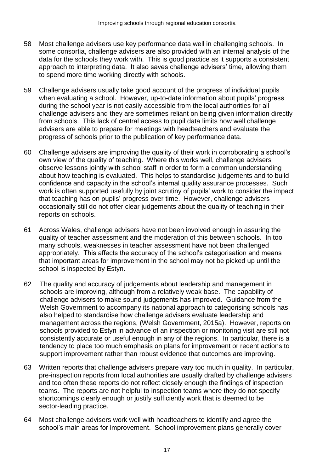- 58 Most challenge advisers use key performance data well in challenging schools. In some consortia, challenge advisers are also provided with an internal analysis of the data for the schools they work with. This is good practice as it supports a consistent approach to interpreting data. It also saves challenge advisers' time, allowing them to spend more time working directly with schools.
- 59 Challenge advisers usually take good account of the progress of individual pupils when evaluating a school. However, up-to-date information about pupils' progress during the school year is not easily accessible from the local authorities for all challenge advisers and they are sometimes reliant on being given information directly from schools. This lack of central access to pupil data limits how well challenge advisers are able to prepare for meetings with headteachers and evaluate the progress of schools prior to the publication of key performance data.
- 60 Challenge advisers are improving the quality of their work in corroborating a school's own view of the quality of teaching. Where this works well, challenge advisers observe lessons jointly with school staff in order to form a common understanding about how teaching is evaluated. This helps to standardise judgements and to build confidence and capacity in the school's internal quality assurance processes. Such work is often supported usefully by joint scrutiny of pupils' work to consider the impact that teaching has on pupils' progress over time. However, challenge advisers occasionally still do not offer clear judgements about the quality of teaching in their reports on schools.
- 61 Across Wales, challenge advisers have not been involved enough in assuring the quality of teacher assessment and the moderation of this between schools. In too many schools, weaknesses in teacher assessment have not been challenged appropriately. This affects the accuracy of the school's categorisation and means that important areas for improvement in the school may not be picked up until the school is inspected by Estyn.
- 62 The quality and accuracy of judgements about leadership and management in schools are improving, although from a relatively weak base. The capability of challenge advisers to make sound judgements has improved. Guidance from the Welsh Government to accompany its national approach to categorising schools has also helped to standardise how challenge advisers evaluate leadership and management across the regions, (Welsh Government, 2015a). However, reports on schools provided to Estyn in advance of an inspection or monitoring visit are still not consistently accurate or useful enough in any of the regions. In particular, there is a tendency to place too much emphasis on plans for improvement or recent actions to support improvement rather than robust evidence that outcomes are improving.
- 63 Written reports that challenge advisers prepare vary too much in quality. In particular, pre-inspection reports from local authorities are usually drafted by challenge advisers and too often these reports do not reflect closely enough the findings of inspection teams. The reports are not helpful to inspection teams where they do not specify shortcomings clearly enough or justify sufficiently work that is deemed to be sector-leading practice.
- 64 Most challenge advisers work well with headteachers to identify and agree the school's main areas for improvement. School improvement plans generally cover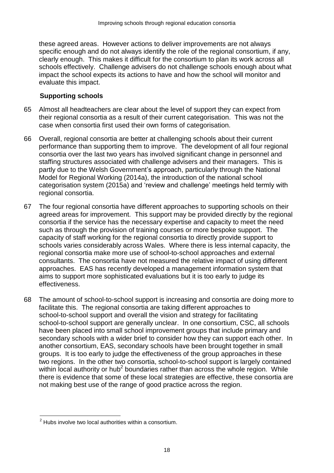these agreed areas. However actions to deliver improvements are not always specific enough and do not always identify the role of the regional consortium, if any, clearly enough. This makes it difficult for the consortium to plan its work across all schools effectively. Challenge advisers do not challenge schools enough about what impact the school expects its actions to have and how the school will monitor and evaluate this impact.

#### **Supporting schools**

- 65 Almost all headteachers are clear about the level of support they can expect from their regional consortia as a result of their current categorisation. This was not the case when consortia first used their own forms of categorisation.
- 66 Overall, regional consortia are better at challenging schools about their current performance than supporting them to improve. The development of all four regional consortia over the last two years has involved significant change in personnel and staffing structures associated with challenge advisers and their managers. This is partly due to the Welsh Government's approach, particularly through the National Model for Regional Working (2014a), the introduction of the national school categorisation system (2015a) and 'review and challenge' meetings held termly with regional consortia.
- 67 The four regional consortia have different approaches to supporting schools on their agreed areas for improvement. This support may be provided directly by the regional consortia if the service has the necessary expertise and capacity to meet the need such as through the provision of training courses or more bespoke support. The capacity of staff working for the regional consortia to directly provide support to schools varies considerably across Wales. Where there is less internal capacity, the regional consortia make more use of school-to-school approaches and external consultants. The consortia have not measured the relative impact of using different approaches. EAS has recently developed a management information system that aims to support more sophisticated evaluations but it is too early to judge its effectiveness.
- 68 The amount of school-to-school support is increasing and consortia are doing more to facilitate this. The regional consortia are taking different approaches to school-to-school support and overall the vision and strategy for facilitating school-to-school support are generally unclear. In one consortium, CSC, all schools have been placed into small school improvement groups that include primary and secondary schools with a wider brief to consider how they can support each other. In another consortium, EAS, secondary schools have been brought together in small groups. It is too early to judge the effectiveness of the group approaches in these two regions. In the other two consortia, school-to-school support is largely contained within local authority or hub<sup>2</sup> boundaries rather than across the whole region. While there is evidence that some of these local strategies are effective, these consortia are not making best use of the range of good practice across the region.

 $\overline{a}$  $2$  Hubs involve two local authorities within a consortium.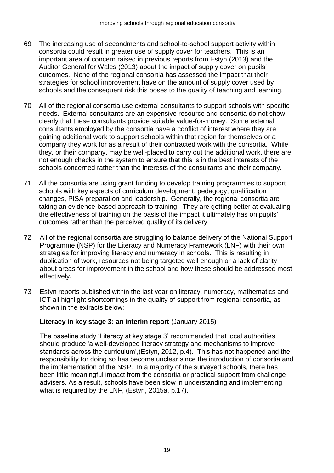- 69 The increasing use of secondments and school-to-school support activity within consortia could result in greater use of supply cover for teachers. This is an important area of concern raised in previous reports from Estyn (2013) and the Auditor General for Wales (2013) about the impact of supply cover on pupils' outcomes. None of the regional consortia has assessed the impact that their strategies for school improvement have on the amount of supply cover used by schools and the consequent risk this poses to the quality of teaching and learning.
- 70 All of the regional consortia use external consultants to support schools with specific needs. External consultants are an expensive resource and consortia do not show clearly that these consultants provide suitable value-for-money. Some external consultants employed by the consortia have a conflict of interest where they are gaining additional work to support schools within that region for themselves or a company they work for as a result of their contracted work with the consortia. While they, or their company, may be well-placed to carry out the additional work, there are not enough checks in the system to ensure that this is in the best interests of the schools concerned rather than the interests of the consultants and their company.
- 71 All the consortia are using grant funding to develop training programmes to support schools with key aspects of curriculum development, pedagogy, qualification changes, PISA preparation and leadership. Generally, the regional consortia are taking an evidence-based approach to training. They are getting better at evaluating the effectiveness of training on the basis of the impact it ultimately has on pupils' outcomes rather than the perceived quality of its delivery.
- 72 All of the regional consortia are struggling to balance delivery of the National Support Programme (NSP) for the Literacy and Numeracy Framework (LNF) with their own strategies for improving literacy and numeracy in schools. This is resulting in duplication of work, resources not being targeted well enough or a lack of clarity about areas for improvement in the school and how these should be addressed most effectively.
- 73 Estyn reports published within the last year on literacy, numeracy, mathematics and ICT all highlight shortcomings in the quality of support from regional consortia, as shown in the extracts below:

## **Literacy in key stage 3: an interim report** (January 2015)

The baseline study 'Literacy at key stage 3' recommended that local authorities should produce 'a well-developed literacy strategy and mechanisms to improve standards across the curriculum',(Estyn, 2012, p.4). This has not happened and the responsibility for doing so has become unclear since the introduction of consortia and the implementation of the NSP. In a majority of the surveyed schools, there has been little meaningful impact from the consortia or practical support from challenge advisers. As a result, schools have been slow in understanding and implementing what is required by the LNF, (Estyn, 2015a, p.17).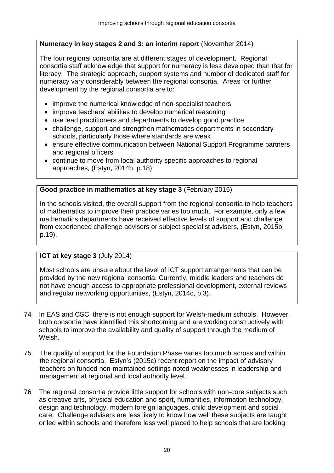### **Numeracy in key stages 2 and 3: an interim report** (November 2014)

The four regional consortia are at different stages of development. Regional consortia staff acknowledge that support for numeracy is less developed than that for literacy. The strategic approach, support systems and number of dedicated staff for numeracy vary considerably between the regional consortia. Areas for further development by the regional consortia are to:

- improve the numerical knowledge of non-specialist teachers
- improve teachers' abilities to develop numerical reasoning
- use lead practitioners and departments to develop good practice
- challenge, support and strengthen mathematics departments in secondary schools, particularly those where standards are weak
- ensure effective communication between National Support Programme partners and regional officers
- continue to move from local authority specific approaches to regional approaches, (Estyn, 2014b, p.18).

#### **Good practice in mathematics at key stage 3** (February 2015)

In the schools visited, the overall support from the regional consortia to help teachers of mathematics to improve their practice varies too much. For example, only a few mathematics departments have received effective levels of support and challenge from experienced challenge advisers or subject specialist advisers, (Estyn, 2015b, p.19).

#### **ICT at key stage 3 (July 2014)**

Most schools are unsure about the level of ICT support arrangements that can be provided by the new regional consortia. Currently, middle leaders and teachers do not have enough access to appropriate professional development, external reviews and regular networking opportunities, (Estyn, 2014c, p.3).

- 74 In EAS and CSC, there is not enough support for Welsh-medium schools. However, both consortia have identified this shortcoming and are working constructively with schools to improve the availability and quality of support through the medium of Welsh.
- 75 The quality of support for the Foundation Phase varies too much across and within the regional consortia. Estyn's (2015c) recent report on the impact of advisory teachers on funded non-maintained settings noted weaknesses in leadership and management at regional and local authority level.
- 76 The regional consortia provide little support for schools with non-core subjects such as creative arts, physical education and sport, humanities, information technology, design and technology, modern foreign languages, child development and social care. Challenge advisers are less likely to know how well these subjects are taught or led within schools and therefore less well placed to help schools that are looking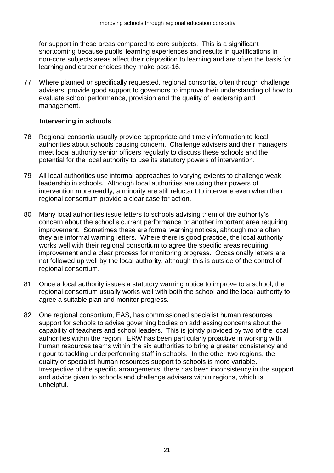for support in these areas compared to core subjects. This is a significant shortcoming because pupils' learning experiences and results in qualifications in non-core subjects areas affect their disposition to learning and are often the basis for learning and career choices they make post-16.

77 Where planned or specifically requested, regional consortia, often through challenge advisers, provide good support to governors to improve their understanding of how to evaluate school performance, provision and the quality of leadership and management.

#### **Intervening in schools**

- 78 Regional consortia usually provide appropriate and timely information to local authorities about schools causing concern. Challenge advisers and their managers meet local authority senior officers regularly to discuss these schools and the potential for the local authority to use its statutory powers of intervention.
- 79 All local authorities use informal approaches to varying extents to challenge weak leadership in schools. Although local authorities are using their powers of intervention more readily, a minority are still reluctant to intervene even when their regional consortium provide a clear case for action.
- 80 Many local authorities issue letters to schools advising them of the authority's concern about the school's current performance or another important area requiring improvement. Sometimes these are formal warning notices, although more often they are informal warning letters. Where there is good practice, the local authority works well with their regional consortium to agree the specific areas requiring improvement and a clear process for monitoring progress. Occasionally letters are not followed up well by the local authority, although this is outside of the control of regional consortium.
- 81 Once a local authority issues a statutory warning notice to improve to a school, the regional consortium usually works well with both the school and the local authority to agree a suitable plan and monitor progress.
- 82 One regional consortium, EAS, has commissioned specialist human resources support for schools to advise governing bodies on addressing concerns about the capability of teachers and school leaders. This is jointly provided by two of the local authorities within the region. ERW has been particularly proactive in working with human resources teams within the six authorities to bring a greater consistency and rigour to tackling underperforming staff in schools. In the other two regions, the quality of specialist human resources support to schools is more variable. Irrespective of the specific arrangements, there has been inconsistency in the support and advice given to schools and challenge advisers within regions, which is unhelpful.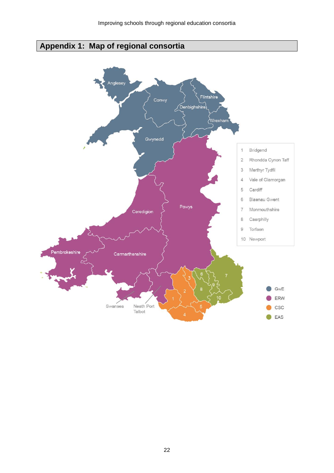# **Appendix 1: Map of regional consortia**

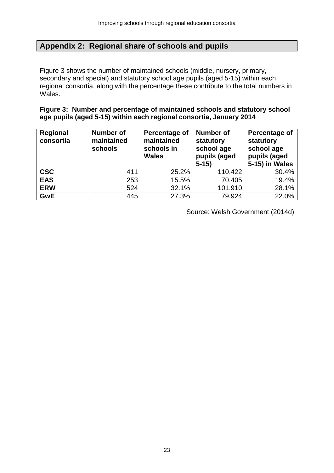## **Appendix 2: Regional share of schools and pupils**

Figure 3 shows the number of maintained schools (middle, nursery, primary, secondary and special) and statutory school age pupils (aged 5-15) within each regional consortia, along with the percentage these contribute to the total numbers in Wales.

**Figure 3: Number and percentage of maintained schools and statutory school age pupils (aged 5-15) within each regional consortia, January 2014**

| Regional<br>consortia | <b>Number of</b><br>maintained<br>schools | Percentage of<br>maintained<br>schools in<br><b>Wales</b> | <b>Number of</b><br>statutory<br>school age<br>pupils (aged<br>$5 - 15$ | Percentage of<br>statutory<br>school age<br>pupils (aged<br>5-15) in Wales |
|-----------------------|-------------------------------------------|-----------------------------------------------------------|-------------------------------------------------------------------------|----------------------------------------------------------------------------|
| <b>CSC</b>            | 411                                       | 25.2%                                                     | 110,422                                                                 | 30.4%                                                                      |
| <b>EAS</b>            | 253                                       | 15.5%                                                     | 70,405                                                                  | 19.4%                                                                      |
| <b>ERW</b>            | 524                                       | 32.1%                                                     | 101,910                                                                 | 28.1%                                                                      |
| <b>GwE</b>            | 445                                       | 27.3%                                                     | 79,924                                                                  | 22.0%                                                                      |

Source: Welsh Government (2014d)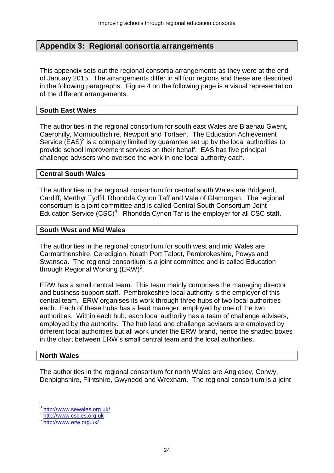### **Appendix 3: Regional consortia arrangements**

This appendix sets out the regional consortia arrangements as they were at the end of January 2015. The arrangements differ in all four regions and these are described in the following paragraphs. Figure 4 on the following page is a visual representation of the different arrangements.

#### **South East Wales**

The authorities in the regional consortium for south east Wales are Blaenau Gwent, Caerphilly, Monmouthshire, Newport and Torfaen. The Education Achievement Service  $(EAS)^3$  is a company limited by guarantee set up by the local authorities to provide school improvement services on their behalf. EAS has five principal challenge advisers who oversee the work in one local authority each.

#### **Central South Wales**

The authorities in the regional consortium for central south Wales are Bridgend, Cardiff, Merthyr Tydfil, Rhondda Cynon Taff and Vale of Glamorgan. The regional consortium is a joint committee and is called Central South Consortium Joint Education Service  $(CSC)^4$ . Rhondda Cynon Taf is the employer for all CSC staff.

#### **South West and Mid Wales**

The authorities in the regional consortium for south west and mid Wales are Carmarthenshire, Ceredigion, Neath Port Talbot, Pembrokeshire, Powys and Swansea. The regional consortium is a joint committee and is called Education through Regional Working  $(ERW)^5$ .

ERW has a small central team. This team mainly comprises the managing director and business support staff. Pembrokeshire local authority is the employer of this central team. ERW organises its work through three hubs of two local authorities each. Each of these hubs has a lead manager, employed by one of the two authorities. Within each hub, each local authority has a team of challenge advisers, employed by the authority. The hub lead and challenge advisers are employed by different local authorities but all work under the ERW brand, hence the shaded boxes in the chart between ERW's small central team and the local authorities.

#### **North Wales**

 $\overline{a}$ 

The authorities in the regional consortium for north Wales are Anglesey, Conwy, Denbighshire, Flintshire, Gwynedd and Wrexham. The regional consortium is a joint

<sup>3</sup> <http://www.sewales.org.uk/>

<sup>4</sup> [http://www.cscjes.org.uk](http://www.cscjes.org.uk/)

<sup>5</sup> <http://www.erw.org.uk/>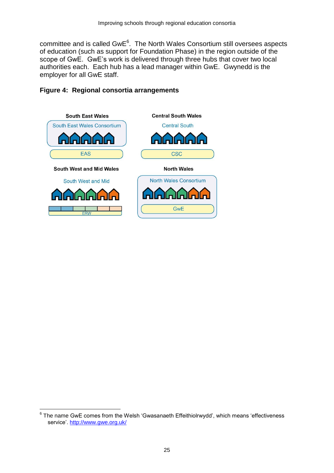committee and is called  $GwE<sup>6</sup>$ . The North Wales Consortium still oversees aspects of education (such as support for Foundation Phase) in the region outside of the scope of GwE. GwE's work is delivered through three hubs that cover two local authorities each. Each hub has a lead manager within GwE. Gwynedd is the employer for all GwE staff.



#### **Figure 4: Regional consortia arrangements**

 $\overline{a}$ 

<sup>6</sup> The name GwE comes from the Welsh 'Gwasanaeth Effeithiolrwydd', which means 'effectiveness service'.<http://www.gwe.org.uk/>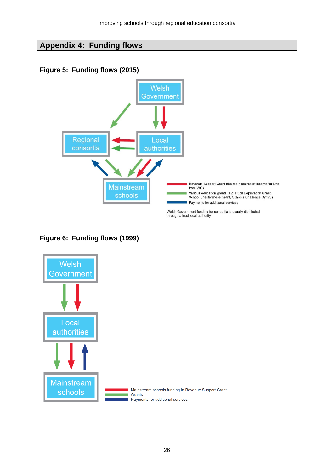## **Appendix 4: Funding flows**

## **Figure 5: Funding flows (2015)**



## **Figure 6: Funding flows (1999)**

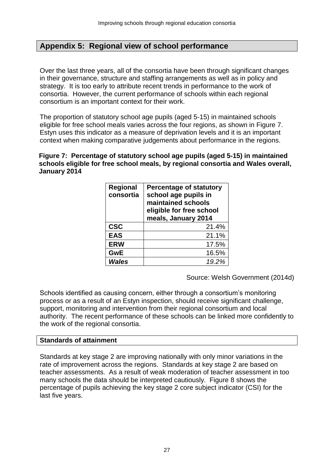## **Appendix 5: Regional view of school performance**

Over the last three years, all of the consortia have been through significant changes in their governance, structure and staffing arrangements as well as in policy and strategy. It is too early to attribute recent trends in performance to the work of consortia. However, the current performance of schools within each regional consortium is an important context for their work.

The proportion of statutory school age pupils (aged 5-15) in maintained schools eligible for free school meals varies across the four regions, as shown in Figure 7. Estyn uses this indicator as a measure of deprivation levels and it is an important context when making comparative judgements about performance in the regions.

**Figure 7: Percentage of statutory school age pupils (aged 5-15) in maintained schools eligible for free school meals, by regional consortia and Wales overall, January 2014**

| Regional<br>consortia | <b>Percentage of statutory</b><br>school age pupils in<br>maintained schools<br>eligible for free school<br>meals, January 2014 |
|-----------------------|---------------------------------------------------------------------------------------------------------------------------------|
| <b>CSC</b>            | 21.4%                                                                                                                           |
| <b>EAS</b>            | 21.1%                                                                                                                           |
| <b>ERW</b>            | 17.5%                                                                                                                           |
| <b>GwE</b>            | 16.5%                                                                                                                           |
| Wales                 | 19.2%                                                                                                                           |

Source: Welsh Government (2014d)

Schools identified as causing concern, either through a consortium's monitoring process or as a result of an Estyn inspection, should receive significant challenge, support, monitoring and intervention from their regional consortium and local authority. The recent performance of these schools can be linked more confidently to the work of the regional consortia.

#### **Standards of attainment**

Standards at key stage 2 are improving nationally with only minor variations in the rate of improvement across the regions. Standards at key stage 2 are based on teacher assessments. As a result of weak moderation of teacher assessment in too many schools the data should be interpreted cautiously. Figure 8 shows the percentage of pupils achieving the key stage 2 core subject indicator (CSI) for the last five years.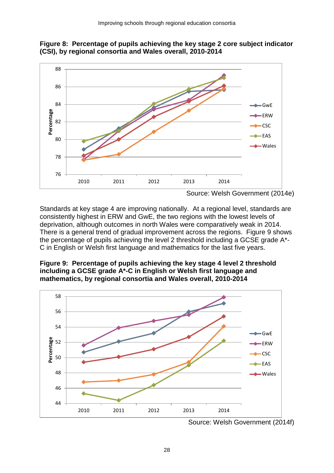

**Figure 8: Percentage of pupils achieving the key stage 2 core subject indicator (CSI), by regional consortia and Wales overall, 2010-2014**

Standards at key stage 4 are improving nationally. At a regional level, standards are consistently highest in ERW and GwE, the two regions with the lowest levels of deprivation, although outcomes in north Wales were comparatively weak in 2014. There is a general trend of gradual improvement across the regions. Figure 9 shows the percentage of pupils achieving the level 2 threshold including a GCSE grade A\*- C in English or Welsh first language and mathematics for the last five years.





Source: Welsh Government (2014f)

Source: Welsh Government (2014e)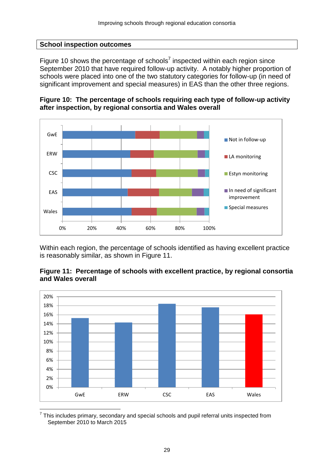#### **School inspection outcomes**

Figure 10 shows the percentage of schools<sup>7</sup> inspected within each region since September 2010 that have required follow-up activity. A notably higher proportion of schools were placed into one of the two statutory categories for follow-up (in need of significant improvement and special measures) in EAS than the other three regions.





Within each region, the percentage of schools identified as having excellent practice is reasonably similar, as shown in Figure 11.





<sup>7</sup> This includes primary, secondary and special schools and pupil referral units inspected from September 2010 to March 2015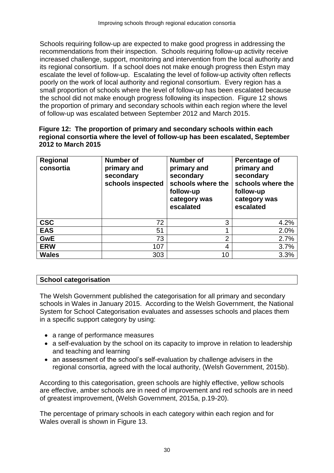Schools requiring follow-up are expected to make good progress in addressing the recommendations from their inspection. Schools requiring follow-up activity receive increased challenge, support, monitoring and intervention from the local authority and its regional consortium. If a school does not make enough progress then Estyn may escalate the level of follow-up. Escalating the level of follow-up activity often reflects poorly on the work of local authority and regional consortium. Every region has a small proportion of schools where the level of follow-up has been escalated because the school did not make enough progress following its inspection. Figure 12 shows the proportion of primary and secondary schools within each region where the level of follow-up was escalated between September 2012 and March 2015.

#### **Figure 12: The proportion of primary and secondary schools within each regional consortia where the level of follow-up has been escalated, September 2012 to March 2015**

| <b>Regional</b><br>consortia | <b>Number of</b><br>primary and<br>secondary<br>schools inspected | <b>Number of</b><br>primary and<br>secondary<br>schools where the<br>follow-up<br>category was<br>escalated | Percentage of<br>primary and<br>secondary<br>schools where the<br>follow-up<br>category was<br>escalated |
|------------------------------|-------------------------------------------------------------------|-------------------------------------------------------------------------------------------------------------|----------------------------------------------------------------------------------------------------------|
| <b>CSC</b>                   | 72                                                                | 3                                                                                                           | 4.2%                                                                                                     |
| <b>EAS</b>                   | 51                                                                |                                                                                                             | 2.0%                                                                                                     |
| <b>GwE</b>                   | 73                                                                | 2                                                                                                           | 2.7%                                                                                                     |
| <b>ERW</b>                   | 107                                                               | 4                                                                                                           | 3.7%                                                                                                     |
| <b>Wales</b>                 | 303                                                               | 10                                                                                                          | 3.3%                                                                                                     |

### **School categorisation**

The Welsh Government published the categorisation for all primary and secondary schools in Wales in January 2015. According to the Welsh Government, the National System for School Categorisation evaluates and assesses schools and places them in a specific support category by using:

- a range of performance measures
- a self-evaluation by the school on its capacity to improve in relation to leadership and teaching and learning
- an assessment of the school's self-evaluation by challenge advisers in the regional consortia, agreed with the local authority, (Welsh Government, 2015b).

According to this categorisation, green schools are highly effective, yellow schools are effective, amber schools are in need of improvement and red schools are in need of greatest improvement, (Welsh Government, 2015a, p.19-20).

The percentage of primary schools in each category within each region and for Wales overall is shown in Figure 13.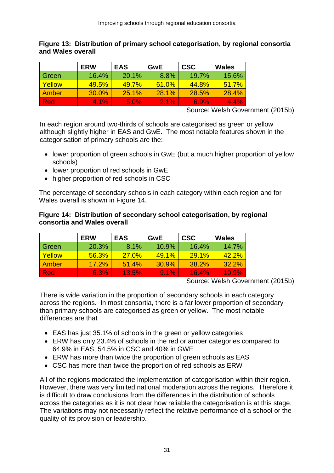#### **Figure 13: Distribution of primary school categorisation, by regional consortia and Wales overall**

|        | <b>ERW</b> | <b>EAS</b> | <b>GwE</b> | <b>CSC</b> | Wales   |
|--------|------------|------------|------------|------------|---------|
| Green  | 16.4%      | 20.1%      | 8.8%       | 19.7%      | 15.6%   |
| Yellow | 49.5%      | 49.7%      | 61.0%      | 44.8%      | 51.7%   |
| Amber  | 30.0%      | 25.1%      | 28.1%      | 28.5%      | 28.4%   |
| -Red   | 4.1%       | 5.0%       | $2.1\%$    | 6.9%       | $4.4\%$ |

Source: Welsh Government (2015b)

In each region around two-thirds of schools are categorised as green or yellow although slightly higher in EAS and GwE. The most notable features shown in the categorisation of primary schools are the:

- lower proportion of green schools in GwE (but a much higher proportion of yellow schools)
- lower proportion of red schools in GwE
- higher proportion of red schools in CSC

The percentage of secondary schools in each category within each region and for Wales overall is shown in Figure 14.

#### **Figure 14: Distribution of secondary school categorisation, by regional consortia and Wales overall**

|        | <b>ERW</b> | <b>EAS</b> | <b>GwE</b> | <b>CSC</b> | Wales    |
|--------|------------|------------|------------|------------|----------|
| Green  | 20.3%      | 8.1%       | 10.9%      | 16.4%      | 14.7%    |
| Yellow | 56.3%      | 27.0%      | 49.1%      | $29.1\%$   | $42.2\%$ |
| Amber  | 17.2%      | 51.4%      | 30.9%      | 38.2%      | 32.2%    |
| Red    | 6.3%       | 13.5%      | $9.1\%$    | $16.4\%$   | 10.9%    |

Source: Welsh Government (2015b)

There is wide variation in the proportion of secondary schools in each category across the regions. In most consortia, there is a far lower proportion of secondary than primary schools are categorised as green or yellow. The most notable differences are that

- EAS has just 35.1% of schools in the green or yellow categories
- ERW has only 23.4% of schools in the red or amber categories compared to 64.9% in EAS, 54.5% in CSC and 40% in GWE
- ERW has more than twice the proportion of green schools as EAS
- CSC has more than twice the proportion of red schools as ERW

All of the regions moderated the implementation of categorisation within their region. However, there was very limited national moderation across the regions. Therefore it is difficult to draw conclusions from the differences in the distribution of schools across the categories as it is not clear how reliable the categorisation is at this stage. The variations may not necessarily reflect the relative performance of a school or the quality of its provision or leadership.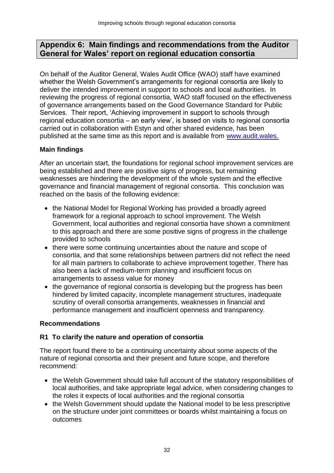## **Appendix 6: Main findings and recommendations from the Auditor General for Wales' report on regional education consortia**

On behalf of the Auditor General, Wales Audit Office (WAO) staff have examined whether the Welsh Government's arrangements for regional consortia are likely to deliver the intended improvement in support to schools and local authorities. In reviewing the progress of regional consortia, WAO staff focused on the effectiveness of governance arrangements based on the Good Governance Standard for Public Services. Their report, 'Achieving improvement in support to schools through regional education consortia – an early view', is based on visits to regional consortia carried out in collaboration with Estyn and other shared evidence, has been published at the same time as this report and is available from [www.audit.wales.](http://www.audit.wales/)

## **Main findings**

After an uncertain start, the foundations for regional school improvement services are being established and there are positive signs of progress, but remaining weaknesses are hindering the development of the whole system and the effective governance and financial management of regional consortia. This conclusion was reached on the basis of the following evidence:

- the National Model for Regional Working has provided a broadly agreed framework for a regional approach to school improvement. The Welsh Government, local authorities and regional consortia have shown a commitment to this approach and there are some positive signs of progress in the challenge provided to schools
- there were some continuing uncertainties about the nature and scope of consortia, and that some relationships between partners did not reflect the need for all main partners to collaborate to achieve improvement together. There has also been a lack of medium-term planning and insufficient focus on arrangements to assess value for money
- the governance of regional consortia is developing but the progress has been hindered by limited capacity, incomplete management structures, inadequate scrutiny of overall consortia arrangements, weaknesses in financial and performance management and insufficient openness and transparency.

### **Recommendations**

### **R1 To clarify the nature and operation of consortia**

The report found there to be a continuing uncertainty about some aspects of the nature of regional consortia and their present and future scope, and therefore recommend:

- the Welsh Government should take full account of the statutory responsibilities of local authorities, and take appropriate legal advice, when considering changes to the roles it expects of local authorities and the regional consortia
- the Welsh Government should update the National model to be less prescriptive on the structure under joint committees or boards whilst maintaining a focus on outcomes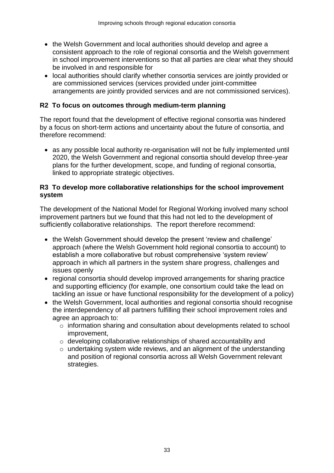- the Welsh Government and local authorities should develop and agree a consistent approach to the role of regional consortia and the Welsh government in school improvement interventions so that all parties are clear what they should be involved in and responsible for
- local authorities should clarify whether consortia services are jointly provided or are commissioned services (services provided under joint-committee arrangements are jointly provided services and are not commissioned services).

#### **R2 To focus on outcomes through medium-term planning**

The report found that the development of effective regional consortia was hindered by a focus on short-term actions and uncertainty about the future of consortia, and therefore recommend:

 as any possible local authority re-organisation will not be fully implemented until 2020, the Welsh Government and regional consortia should develop three-year plans for the further development, scope, and funding of regional consortia, linked to appropriate strategic objectives.

#### **R3 To develop more collaborative relationships for the school improvement system**

The development of the National Model for Regional Working involved many school improvement partners but we found that this had not led to the development of sufficiently collaborative relationships. The report therefore recommend:

- the Welsh Government should develop the present 'review and challenge' approach (where the Welsh Government hold regional consortia to account) to establish a more collaborative but robust comprehensive 'system review' approach in which all partners in the system share progress, challenges and issues openly
- regional consortia should develop improved arrangements for sharing practice and supporting efficiency (for example, one consortium could take the lead on tackling an issue or have functional responsibility for the development of a policy)
- the Welsh Government, local authorities and regional consortia should recognise the interdependency of all partners fulfilling their school improvement roles and agree an approach to:
	- o information sharing and consultation about developments related to school improvement,
	- o developing collaborative relationships of shared accountability and
	- $\circ$  undertaking system wide reviews, and an alignment of the understanding and position of regional consortia across all Welsh Government relevant strategies.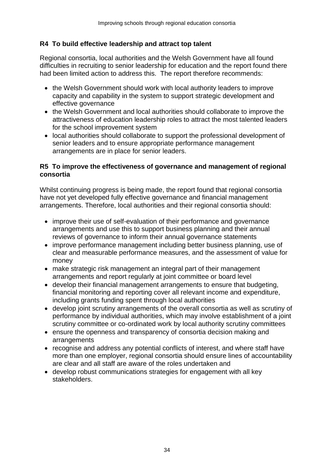### **R4 To build effective leadership and attract top talent**

Regional consortia, local authorities and the Welsh Government have all found difficulties in recruiting to senior leadership for education and the report found there had been limited action to address this. The report therefore recommends:

- the Welsh Government should work with local authority leaders to improve capacity and capability in the system to support strategic development and effective governance
- the Welsh Government and local authorities should collaborate to improve the attractiveness of education leadership roles to attract the most talented leaders for the school improvement system
- local authorities should collaborate to support the professional development of senior leaders and to ensure appropriate performance management arrangements are in place for senior leaders.

#### **R5 To improve the effectiveness of governance and management of regional consortia**

Whilst continuing progress is being made, the report found that regional consortia have not yet developed fully effective governance and financial management arrangements. Therefore, local authorities and their regional consortia should:

- improve their use of self-evaluation of their performance and governance arrangements and use this to support business planning and their annual reviews of governance to inform their annual governance statements
- improve performance management including better business planning, use of clear and measurable performance measures, and the assessment of value for money
- make strategic risk management an integral part of their management arrangements and report regularly at joint committee or board level
- develop their financial management arrangements to ensure that budgeting, financial monitoring and reporting cover all relevant income and expenditure, including grants funding spent through local authorities
- develop joint scrutiny arrangements of the overall consortia as well as scrutiny of performance by individual authorities, which may involve establishment of a joint scrutiny committee or co-ordinated work by local authority scrutiny committees
- ensure the openness and transparency of consortia decision making and arrangements
- recognise and address any potential conflicts of interest, and where staff have more than one employer, regional consortia should ensure lines of accountability are clear and all staff are aware of the roles undertaken and
- develop robust communications strategies for engagement with all key stakeholders.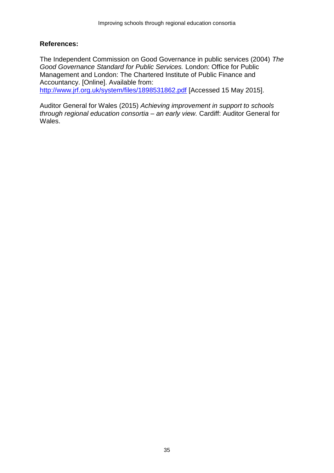#### **References:**

The Independent Commission on Good Governance in public services (2004) *The Good Governance Standard for Public Services.* London: Office for Public Management and London: The Chartered Institute of Public Finance and Accountancy. [Online]. Available from: <http://www.jrf.org.uk/system/files/1898531862.pdf> [Accessed 15 May 2015].

Auditor General for Wales (2015) *Achieving improvement in support to schools through regional education consortia – an early view.* Cardiff: Auditor General for Wales.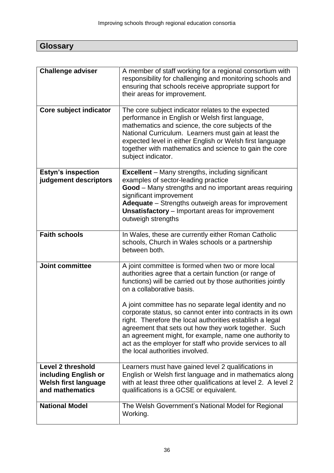| <b>Glossary</b> |
|-----------------|
|                 |

| <b>Challenge adviser</b>                                                                           | A member of staff working for a regional consortium with<br>responsibility for challenging and monitoring schools and<br>ensuring that schools receive appropriate support for<br>their areas for improvement.                                                                                                                                                                                                                                                                                                                                                                                                   |
|----------------------------------------------------------------------------------------------------|------------------------------------------------------------------------------------------------------------------------------------------------------------------------------------------------------------------------------------------------------------------------------------------------------------------------------------------------------------------------------------------------------------------------------------------------------------------------------------------------------------------------------------------------------------------------------------------------------------------|
| Core subject indicator                                                                             | The core subject indicator relates to the expected<br>performance in English or Welsh first language,<br>mathematics and science, the core subjects of the<br>National Curriculum. Learners must gain at least the<br>expected level in either English or Welsh first language<br>together with mathematics and science to gain the core<br>subject indicator.                                                                                                                                                                                                                                                   |
| <b>Estyn's inspection</b><br>judgement descriptors                                                 | <b>Excellent</b> – Many strengths, including significant<br>examples of sector-leading practice<br>Good - Many strengths and no important areas requiring<br>significant improvement<br>Adequate - Strengths outweigh areas for improvement<br><b>Unsatisfactory</b> – Important areas for improvement<br>outweigh strengths                                                                                                                                                                                                                                                                                     |
| <b>Faith schools</b>                                                                               | In Wales, these are currently either Roman Catholic<br>schools, Church in Wales schools or a partnership<br>between both.                                                                                                                                                                                                                                                                                                                                                                                                                                                                                        |
| <b>Joint committee</b>                                                                             | A joint committee is formed when two or more local<br>authorities agree that a certain function (or range of<br>functions) will be carried out by those authorities jointly<br>on a collaborative basis.<br>A joint committee has no separate legal identity and no<br>corporate status, so cannot enter into contracts in its own<br>right. Therefore the local authorities establish a legal<br>agreement that sets out how they work together. Such<br>an agreement might, for example, name one authority to<br>act as the employer for staff who provide services to all<br>the local authorities involved. |
| <b>Level 2 threshold</b><br>including English or<br><b>Welsh first language</b><br>and mathematics | Learners must have gained level 2 qualifications in<br>English or Welsh first language and in mathematics along<br>with at least three other qualifications at level 2. A level 2<br>qualifications is a GCSE or equivalent.                                                                                                                                                                                                                                                                                                                                                                                     |
| <b>National Model</b>                                                                              | The Welsh Government's National Model for Regional<br>Working.                                                                                                                                                                                                                                                                                                                                                                                                                                                                                                                                                   |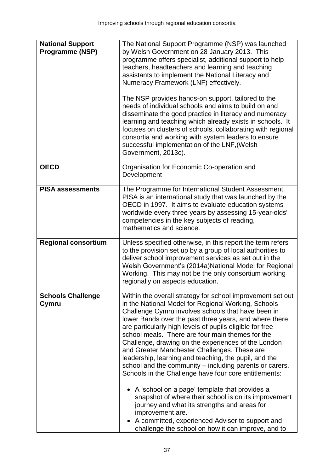| <b>National Support</b><br><b>Programme (NSP)</b> | The National Support Programme (NSP) was launched<br>by Welsh Government on 28 January 2013. This<br>programme offers specialist, additional support to help<br>teachers, headteachers and learning and teaching<br>assistants to implement the National Literacy and<br>Numeracy Framework (LNF) effectively.<br>The NSP provides hands-on support, tailored to the<br>needs of individual schools and aims to build on and<br>disseminate the good practice in literacy and numeracy<br>learning and teaching which already exists in schools. It<br>focuses on clusters of schools, collaborating with regional<br>consortia and working with system leaders to ensure<br>successful implementation of the LNF, (Welsh<br>Government, 2013c).                                                                                                                                                                            |
|---------------------------------------------------|-----------------------------------------------------------------------------------------------------------------------------------------------------------------------------------------------------------------------------------------------------------------------------------------------------------------------------------------------------------------------------------------------------------------------------------------------------------------------------------------------------------------------------------------------------------------------------------------------------------------------------------------------------------------------------------------------------------------------------------------------------------------------------------------------------------------------------------------------------------------------------------------------------------------------------|
| <b>OECD</b>                                       | Organisation for Economic Co-operation and<br>Development                                                                                                                                                                                                                                                                                                                                                                                                                                                                                                                                                                                                                                                                                                                                                                                                                                                                   |
| <b>PISA assessments</b>                           | The Programme for International Student Assessment.<br>PISA is an international study that was launched by the<br>OECD in 1997. It aims to evaluate education systems<br>worldwide every three years by assessing 15-year-olds'<br>competencies in the key subjects of reading,<br>mathematics and science.                                                                                                                                                                                                                                                                                                                                                                                                                                                                                                                                                                                                                 |
| <b>Regional consortium</b>                        | Unless specified otherwise, in this report the term refers<br>to the provision set up by a group of local authorities to<br>deliver school improvement services as set out in the<br>Welsh Government's (2014a)National Model for Regional<br>Working. This may not be the only consortium working<br>regionally on aspects education.                                                                                                                                                                                                                                                                                                                                                                                                                                                                                                                                                                                      |
| <b>Schools Challenge</b><br>Cymru                 | Within the overall strategy for school improvement set out<br>in the National Model for Regional Working, Schools<br>Challenge Cymru involves schools that have been in<br>lower Bands over the past three years, and where there<br>are particularly high levels of pupils eligible for free<br>school meals. There are four main themes for the<br>Challenge, drawing on the experiences of the London<br>and Greater Manchester Challenges. These are<br>leadership, learning and teaching, the pupil, and the<br>school and the community - including parents or carers.<br>Schools in the Challenge have four core entitlements:<br>A 'school on a page' template that provides a<br>snapshot of where their school is on its improvement<br>journey and what its strengths and areas for<br>improvement are.<br>A committed, experienced Adviser to support and<br>challenge the school on how it can improve, and to |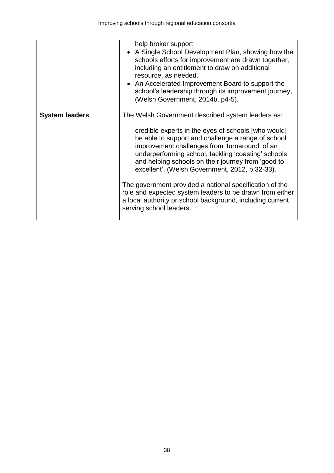|                       | help broker support<br>A Single School Development Plan, showing how the<br>schools efforts for improvement are drawn together,<br>including an entitlement to draw on additional<br>resource, as needed.<br>• An Accelerated Improvement Board to support the<br>school's leadership through its improvement journey,<br>(Welsh Government, 2014b, p4-5).                                                                                                                                                                                                                                     |
|-----------------------|------------------------------------------------------------------------------------------------------------------------------------------------------------------------------------------------------------------------------------------------------------------------------------------------------------------------------------------------------------------------------------------------------------------------------------------------------------------------------------------------------------------------------------------------------------------------------------------------|
| <b>System leaders</b> | The Welsh Government described system leaders as:<br>credible experts in the eyes of schools [who would]<br>be able to support and challenge a range of school<br>improvement challenges from 'turnaround' of an<br>underperforming school, tackling 'coasting' schools<br>and helping schools on their journey from 'good to<br>excellent', (Welsh Government, 2012, p.32-33).<br>The government provided a national specification of the<br>role and expected system leaders to be drawn from either<br>a local authority or school background, including current<br>serving school leaders. |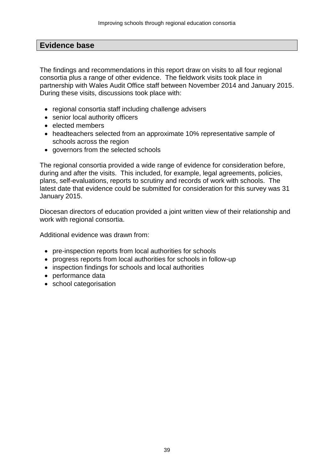### **Evidence base**

The findings and recommendations in this report draw on visits to all four regional consortia plus a range of other evidence. The fieldwork visits took place in partnership with Wales Audit Office staff between November 2014 and January 2015. During these visits, discussions took place with:

- regional consortia staff including challenge advisers
- senior local authority officers
- elected members
- headteachers selected from an approximate 10% representative sample of schools across the region
- governors from the selected schools

The regional consortia provided a wide range of evidence for consideration before, during and after the visits. This included, for example, legal agreements, policies, plans, self-evaluations, reports to scrutiny and records of work with schools. The latest date that evidence could be submitted for consideration for this survey was 31 January 2015.

Diocesan directors of education provided a joint written view of their relationship and work with regional consortia.

Additional evidence was drawn from:

- pre-inspection reports from local authorities for schools
- progress reports from local authorities for schools in follow-up
- inspection findings for schools and local authorities
- performance data
- school categorisation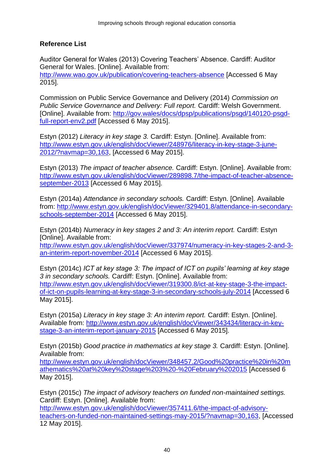### **Reference List**

Auditor General for Wales (2013) Covering Teachers' Absence. Cardiff: Auditor General for Wales. [Online]. Available from: <http://www.wao.gov.uk/publication/covering-teachers-absence> [Accessed 6 May 2015].

Commission on Public Service Governance and Delivery (2014) *Commission on Public Service Governance and Delivery: Full report.* Cardiff: Welsh Government. [Online]. Available from: [http://gov.wales/docs/dpsp/publications/psgd/140120-psgd](http://gov.wales/docs/dpsp/publications/psgd/140120-psgd-full-report-env2.pdf)[full-report-env2.pdf](http://gov.wales/docs/dpsp/publications/psgd/140120-psgd-full-report-env2.pdf) [Accessed 6 May 2015].

Estyn (2012) *Literacy in key stage 3.* Cardiff: Estyn. [Online]. Available from: [http://www.estyn.gov.uk/english/docViewer/248976/literacy-in-key-stage-3-june-](http://www.estyn.gov.uk/english/docViewer/248976/literacy-in-key-stage-3-june-2012/?navmap=30,163)[2012/?navmap=30,163,](http://www.estyn.gov.uk/english/docViewer/248976/literacy-in-key-stage-3-june-2012/?navmap=30,163) [Accessed 6 May 2015].

Estyn (2013) *The impact of teacher absence.* Cardiff: Estyn. [Online]. Available from: [http://www.estyn.gov.uk/english/docViewer/289898.7/the-impact-of-teacher-absence](http://www.estyn.gov.uk/english/docViewer/289898.7/the-impact-of-teacher-absence-september-2013)[september-2013](http://www.estyn.gov.uk/english/docViewer/289898.7/the-impact-of-teacher-absence-september-2013) [Accessed 6 May 2015].

Estyn (2014a) *Attendance in secondary schools.* Cardiff: Estyn. [Online]. Available from: [http://www.estyn.gov.uk/english/docViewer/329401.8/attendance-in-secondary](http://www.estyn.gov.uk/english/docViewer/329401.8/attendance-in-secondary-schools-september-2014)[schools-september-2014](http://www.estyn.gov.uk/english/docViewer/329401.8/attendance-in-secondary-schools-september-2014) [Accessed 6 May 2015].

Estyn (2014b) *Numeracy in key stages 2 and 3: An interim report.* Cardiff: Estyn [Online]. Available from:

[http://www.estyn.gov.uk/english/docViewer/337974/numeracy-in-key-stages-2-and-3](http://www.estyn.gov.uk/english/docViewer/337974/numeracy-in-key-stages-2-and-3-an-interim-report-november-2014) [an-interim-report-november-2014](http://www.estyn.gov.uk/english/docViewer/337974/numeracy-in-key-stages-2-and-3-an-interim-report-november-2014) [Accessed 6 May 2015].

Estyn (2014c) *ICT at key stage 3: The impact of ICT on pupils' learning at key stage 3 in secondary schools.* Cardiff: Estyn. [Online]. Available from: [http://www.estyn.gov.uk/english/docViewer/319300.8/ict-at-key-stage-3-the-impact](http://www.estyn.gov.uk/english/docViewer/319300.8/ict-at-key-stage-3-the-impact-of-ict-on-pupils-learning-at-key-stage-3-in-secondary-schools-july-2014)[of-ict-on-pupils-learning-at-key-stage-3-in-secondary-schools-july-2014](http://www.estyn.gov.uk/english/docViewer/319300.8/ict-at-key-stage-3-the-impact-of-ict-on-pupils-learning-at-key-stage-3-in-secondary-schools-july-2014) [Accessed 6 May 2015].

Estyn (2015a) *Literacy in key stage 3: An interim report.* Cardiff: Estyn. [Online]. Available from: [http://www.estyn.gov.uk/english/docViewer/343434/literacy-in-key](http://www.estyn.gov.uk/english/docViewer/343434/literacy-in-key-stage-3-an-interim-report-january-2015)[stage-3-an-interim-report-january-2015](http://www.estyn.gov.uk/english/docViewer/343434/literacy-in-key-stage-3-an-interim-report-january-2015) [Accessed 6 May 2015].

Estyn (2015b) *Good practice in mathematics at key stage 3.* Cardiff: Estyn. [Online]. Available from:

[http://www.estyn.gov.uk/english/docViewer/348457.2/Good%20practice%20in%20m](http://www.estyn.gov.uk/english/docViewer/348457.2/Good%20practice%20in%20mathematics%20at%20key%20stage%203%20-%20February%202015) [athematics%20at%20key%20stage%203%20-%20February%202015](http://www.estyn.gov.uk/english/docViewer/348457.2/Good%20practice%20in%20mathematics%20at%20key%20stage%203%20-%20February%202015) [Accessed 6 May 2015].

Estyn (2015c) *The impact of advisory teachers on funded non-maintained settings.*  Cardiff: Estyn. [Online]. Available from:

[http://www.estyn.gov.uk/english/docViewer/357411.6/the-impact-of-advisory](http://www.estyn.gov.uk/english/docViewer/357411.6/the-impact-of-advisory-teachers-on-funded-non-maintained-settings-may-2015/?navmap=30,163)[teachers-on-funded-non-maintained-settings-may-2015/?navmap=30,163,](http://www.estyn.gov.uk/english/docViewer/357411.6/the-impact-of-advisory-teachers-on-funded-non-maintained-settings-may-2015/?navmap=30,163) [Accessed 12 May 2015].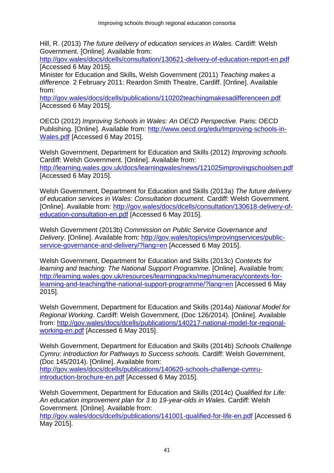Hill, R. (2013) *The future delivery of education services in Wales.* Cardiff: Welsh Government. [Online]. Available from:

<http://gov.wales/docs/dcells/consultation/130621-delivery-of-education-report-en.pdf> [Accessed 6 May 2015].

Minister for Education and Skills, Welsh Government (2011) *Teaching makes a difference.* 2 February 2011: Reardon Smith Theatre, Cardiff. [Online]. Available from:

<http://gov.wales/docs/dcells/publications/110202teachingmakesadifferenceen.pdf> [Accessed 6 May 2015].

OECD (2012) *Improving Schools in Wales: An OECD Perspective.* Paris: OECD Publishing. [Online]. Available from: [http://www.oecd.org/edu/Improving-schools-in-](http://www.oecd.org/edu/Improving-schools-in-Wales.pdf)[Wales.pdf](http://www.oecd.org/edu/Improving-schools-in-Wales.pdf) [Accessed 6 May 2015].

Welsh Government, Department for Education and Skills (2012) *Improving schools.*  Cardiff: Welsh Government. [Online]. Available from: <http://learning.wales.gov.uk/docs/learningwales/news/121025improvingschoolsen.pdf> [Accessed 6 May 2015].

Welsh Government, Department for Education and Skills (2013a) *The future delivery of education services in Wales: Consultation document.* Cardiff: Welsh Government. [Online]. Available from: [http://gov.wales/docs/dcells/consultation/130618-delivery-of](http://gov.wales/docs/dcells/consultation/130618-delivery-of-education-consultation-en.pdf)[education-consultation-en.pdf](http://gov.wales/docs/dcells/consultation/130618-delivery-of-education-consultation-en.pdf) [Accessed 6 May 2015].

Welsh Government (2013b) *Commission on Public Service Governance and Delivery.* [Online]. Available from: [http://gov.wales/topics/improvingservices/public](http://gov.wales/topics/improvingservices/public-service-governance-and-delivery/?lang=en)[service-governance-and-delivery/?lang=en](http://gov.wales/topics/improvingservices/public-service-governance-and-delivery/?lang=en) [Accessed 6 May 2015].

Welsh Government, Department for Education and Skills (2013c) *Contexts for learning and teaching: The National Support Programme.* [Online]. Available from: [http://learning.wales.gov.uk/resources/learningpacks/mep/numeracy/contexts-for](http://learning.wales.gov.uk/resources/learningpacks/mep/numeracy/contexts-for-learning-and-teaching/the-national-support-programme/?lang=en)[learning-and-teaching/the-national-support-programme/?lang=en](http://learning.wales.gov.uk/resources/learningpacks/mep/numeracy/contexts-for-learning-and-teaching/the-national-support-programme/?lang=en) [Accessed 6 May 2015].

Welsh Government, Department for Education and Skills (2014a) *National Model for Regional Working.* Cardiff: Welsh Government, (Doc 126/2014). [Online]. Available from: [http://gov.wales/docs/dcells/publications/140217-national-model-for-regional](http://gov.wales/docs/dcells/publications/140217-national-model-for-regional-working-en.pdf)[working-en.pdf](http://gov.wales/docs/dcells/publications/140217-national-model-for-regional-working-en.pdf) [Accessed 6 May 2015].

Welsh Government, Department for Education and Skills (2014b) *Schools Challenge Cymru: introduction for Pathways to Success schools.* Cardiff: Welsh Government, (Doc 145/2014). [Online]. Available from: [http://gov.wales/docs/dcells/publications/140620-schools-challenge-cymru](http://gov.wales/docs/dcells/publications/140620-schools-challenge-cymru-introduction-brochure-en.pdf)[introduction-brochure-en.pdf](http://gov.wales/docs/dcells/publications/140620-schools-challenge-cymru-introduction-brochure-en.pdf) [Accessed 6 May 2015].

Welsh Government, Department for Education and Skills (2014c) *Qualified for Life: An education improvement plan for 3 to 19-year-olds in Wales.* Cardiff: Welsh Government. [Online]. Available from:

<http://gov.wales/docs/dcells/publications/141001-qualified-for-life-en.pdf> [Accessed 6 May 2015].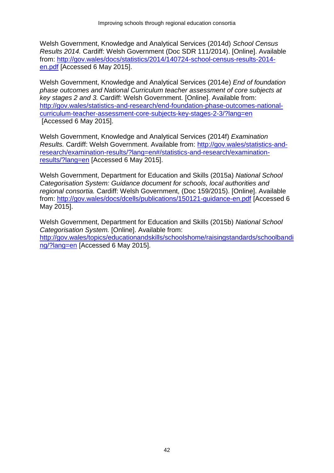Welsh Government, Knowledge and Analytical Services (2014d) *School Census Results 2014.* Cardiff: Welsh Government (Doc SDR 111/2014). [Online]. Available from: [http://gov.wales/docs/statistics/2014/140724-school-census-results-2014](http://gov.wales/docs/statistics/2014/140724-school-census-results-2014-en.pdf) [en.pdf](http://gov.wales/docs/statistics/2014/140724-school-census-results-2014-en.pdf) [Accessed 6 May 2015].

Welsh Government, Knowledge and Analytical Services (2014e) *End of foundation phase outcomes and National Curriculum teacher assessment of core subjects at key stages 2 and 3.* Cardiff: Welsh Government. [Online]. Available from: [http://gov.wales/statistics-and-research/end-foundation-phase-outcomes-national](http://gov.wales/statistics-and-research/end-foundation-phase-outcomes-national-curriculum-teacher-assessment-core-subjects-key-stages-2-3/?lang=en)[curriculum-teacher-assessment-core-subjects-key-stages-2-3/?lang=en](http://gov.wales/statistics-and-research/end-foundation-phase-outcomes-national-curriculum-teacher-assessment-core-subjects-key-stages-2-3/?lang=en) [Accessed 6 May 2015].

Welsh Government, Knowledge and Analytical Services (2014f) *Examination Results.* Cardiff: Welsh Government. Available from: [http://gov.wales/statistics-and](http://gov.wales/statistics-and-research/examination-results/?lang=en#/statistics-and-research/examination-results/?lang=en)[research/examination-results/?lang=en#/statistics-and-research/examination](http://gov.wales/statistics-and-research/examination-results/?lang=en#/statistics-and-research/examination-results/?lang=en)[results/?lang=en](http://gov.wales/statistics-and-research/examination-results/?lang=en#/statistics-and-research/examination-results/?lang=en) [Accessed 6 May 2015].

Welsh Government, Department for Education and Skills (2015a) *National School Categorisation System: Guidance document for schools, local authorities and regional consortia.* Cardiff: Welsh Government, (Doc 159/2015). [Online]. Available from:<http://gov.wales/docs/dcells/publications/150121-guidance-en.pdf> [Accessed 6 May 2015].

Welsh Government, Department for Education and Skills (2015b) *National School Categorisation System.* [Online]. Available from: [http://gov.wales/topics/educationandskills/schoolshome/raisingstandards/schoolbandi](http://gov.wales/topics/educationandskills/schoolshome/raisingstandards/schoolbanding/?lang=en) [ng/?lang=en](http://gov.wales/topics/educationandskills/schoolshome/raisingstandards/schoolbanding/?lang=en) [Accessed 6 May 2015].